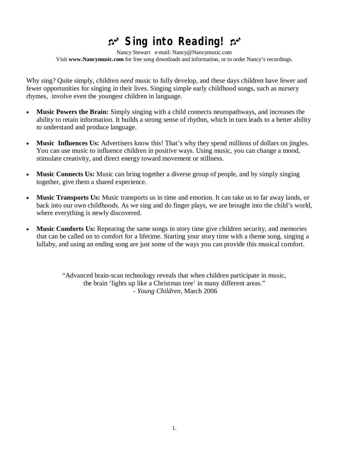# **Sing into Reading!**

Nancy Stewart e-mail: Nancy@Nancymusic.com Visit **www.Nancymusic.com** for free song downloads and information, or to order Nancy's recordings.

Why sing? Quite simply, children *need* music to fully develop, and these days children have fewer and fewer opportunities for singing in their lives. Singing simple early childhood songs, such as nursery rhymes, involve even the youngest children in language.

- **Music Powers the Brain:** Simply singing with a child connects neuropathways, and increases the ability to retain information. It builds a strong sense of rhythm, which in turn leads to a better ability to understand and produce language.
- **Music Influences Us:** Advertisers know this! That's why they spend millions of dollars on jingles. You can use music to influence children in positive ways. Using music, you can change a mood, stimulate creativity, and direct energy toward movement or stillness.
- **Music Connects Us:** Music can bring together a diverse group of people, and by simply singing together, give them a shared experience.
- **Music Transports Us:** Music transports us in time and emotion. It can take us to far away lands, or back into our own childhoods. As we sing and do finger plays, we are brought into the child's world, where everything is newly discovered.
- **Music Comforts Us:** Repeating the same songs in story time give children security, and memories that can be called on to comfort for a lifetime. Starting your story time with a theme song, singing a lullaby, and using an ending song are just some of the ways you can provide this musical comfort.

"Advanced brain-scan technology reveals that when children participate in music, the brain 'lights up like a Christmas tree' in many different areas." - *Young Children*, March 2006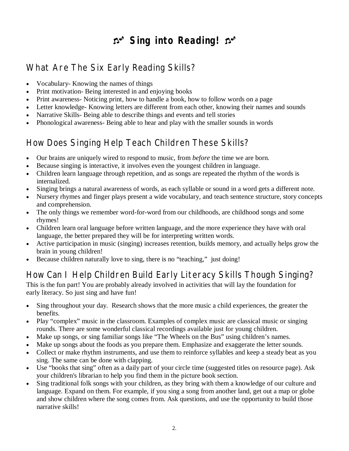# **Sing into Reading!**

# What Are The Six Early Reading Skills?

- Vocabulary- Knowing the names of things
- Print motivation- Being interested in and enjoying books
- Print awareness- Noticing print, how to handle a book, how to follow words on a page
- Letter knowledge- Knowing letters are different from each other, knowing their names and sounds
- Narrative Skills-Being able to describe things and events and tell stories
- Phonological awareness- Being able to hear and play with the smaller sounds in words

# How Does Singing Help Teach Children These Skills?

- Our brains are uniquely wired to respond to music, from *before* the time we are born.
- Because singing is interactive, it involves even the youngest children in language.
- Children learn language through repetition, and as songs are repeated the rhythm of the words is internalized.
- Singing brings a natural awareness of words, as each syllable or sound in a word gets a different note.
- Nursery rhymes and finger plays present a wide vocabulary, and teach sentence structure, story concepts and comprehension.
- The only things we remember word-for-word from our childhoods, are childhood songs and some rhymes!
- Children learn oral language before written language, and the more experience they have with oral language, the better prepared they will be for interpreting written words.
- Active participation in music (singing) increases retention, builds memory, and actually helps grow the brain in young children!
- Because children naturally love to sing, there is no "teaching," just doing!

# How Can I Help Children Build Early Literacy Skills Though Singing?

This is the fun part! You are probably already involved in activities that will lay the foundation for early literacy. So just sing and have fun!

- Sing throughout your day. Research shows that the more music a child experiences, the greater the benefits.
- Play "complex" music in the classroom. Examples of complex music are classical music or singing rounds. There are some wonderful classical recordings available just for young children.
- Make up songs, or sing familiar songs like "The Wheels on the Bus" using children's names.
- Make up songs about the foods as you prepare them. Emphasize and exaggerate the letter sounds.
- Collect or make rhythm instruments, and use them to reinforce syllables and keep a steady beat as you sing. The same can be done with clapping.
- Use "books that sing" often as a daily part of your circle time (suggested titles on resource page). Ask your children's librarian to help you find them in the picture book section.
- Sing traditional folk songs with your children, as they bring with them a knowledge of our culture and language. Expand on them. For example, if you sing a song from another land, get out a map or globe and show children where the song comes from. Ask questions, and use the opportunity to build those narrative skills!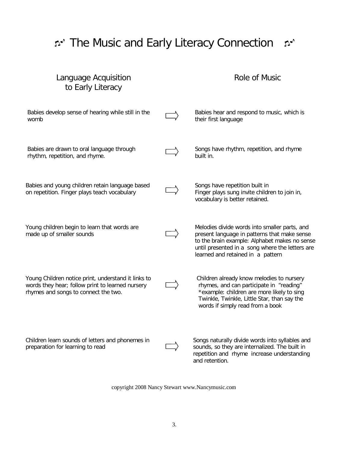# ית The Music and Early Literacy Connection מית

# Language Acquisition to Early Literacy

# Role of Music

| Babies develop sense of hearing while still in the<br>womb                                                                                      | Babies hear and respond to music, which is<br>their first language                                                                                                                                                                     |
|-------------------------------------------------------------------------------------------------------------------------------------------------|----------------------------------------------------------------------------------------------------------------------------------------------------------------------------------------------------------------------------------------|
| Babies are drawn to oral language through<br>rhythm, repetition, and rhyme.                                                                     | Songs have rhythm, repetition, and rhyme<br>built in.                                                                                                                                                                                  |
| Babies and young children retain language based<br>on repetition. Finger plays teach vocabulary                                                 | Songs have repetition built in<br>Finger plays sung invite children to join in,<br>vocabulary is better retained.                                                                                                                      |
| Young children begin to learn that words are<br>made up of smaller sounds                                                                       | Melodies divide words into smaller parts, and<br>present language in patterns that make sense<br>to the brain example: Alphabet makes no sense<br>until presented in a song where the letters are<br>learned and retained in a pattern |
| Young Children notice print, understand it links to<br>words they hear; follow print to learned nursery<br>rhymes and songs to connect the two. | Children already know melodies to nursery<br>rhymes, and can participate in "reading"<br>*example: children are more likely to sing<br>Twinkle, Twinkle, Little Star, than say the<br>words if simply read from a book                 |
| Children learn sounds of letters and phonemes in<br>preparation for learning to read                                                            | Songs naturally divide words into syllables and<br>sounds, so they are internalized. The built in<br>repetition and rhyme increase understanding<br>and retention.                                                                     |

copyright 2008 Nancy Stewart www.Nancymusic.com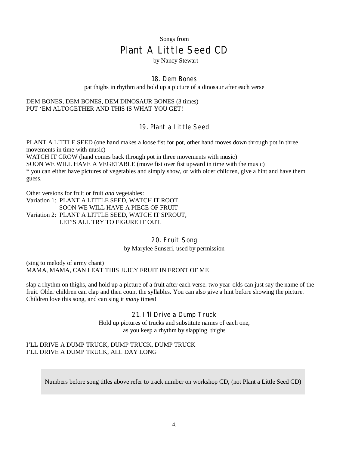# Songs from Plant A Little Seed CD

### by Nancy Stewart

### 18. Dem Bones

pat thighs in rhythm and hold up a picture of a dinosaur after each verse

### DEM BONES, DEM BONES, DEM DINOSAUR BONES (3 times) PUT 'EM ALTOGETHER AND THIS IS WHAT YOU GET!

### 19. Plant a Little Seed

PLANT A LITTLE SEED (one hand makes a loose fist for pot, other hand moves down through pot in three movements in time with music)

WATCH IT GROW (hand comes back through pot in three movements with music) SOON WE WILL HAVE A VEGETABLE (move fist over fist upward in time with the music) \* you can either have pictures of vegetables and simply show, or with older children, give a hint and have them guess.

Other versions for fruit or fruit *and* vegetables:

Variation 1: PLANT A LITTLE SEED, WATCH IT ROOT, SOON WE WILL HAVE A PIECE OF FRUIT Variation 2: PLANT A LITTLE SEED, WATCH IT SPROUT, LET'S ALL TRY TO FIGURE IT OUT.

> 20. Fruit Song by Marylee Sunseri, used by permission

(sing to melody of army chant) MAMA, MAMA, CAN I EAT THIS JUICY FRUIT IN FRONT OF ME

slap a rhythm on thighs, and hold up a picture of a fruit after each verse. two year-olds can just say the name of the fruit. Older children can clap and then count the syllables. You can also give a hint before showing the picture. Children love this song, and can sing it *many* times!

21. I'll Drive a Dump Truck

Hold up pictures of trucks and substitute names of each one, as you keep a rhythm by slapping thighs

### I'LL DRIVE A DUMP TRUCK, DUMP TRUCK, DUMP TRUCK I'LL DRIVE A DUMP TRUCK, ALL DAY LONG

Numbers before song titles above refer to track number on workshop CD, (not Plant a Little Seed CD)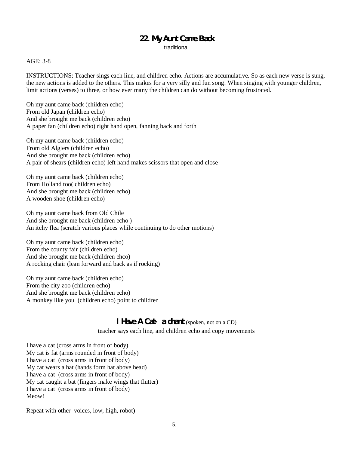### **22. My Aunt Came Back**

traditional

### AGE: 3-8

INSTRUCTIONS: Teacher sings each line, and children echo. Actions are accumulative. So as each new verse is sung, the new actions is added to the others. This makes for a very silly and fun song! When singing with younger children, limit actions (verses) to three, or how ever many the children can do without becoming frustrated.

Oh my aunt came back (children echo) From old Japan (children echo) And she brought me back (children echo) A paper fan (children echo) right hand open, fanning back and forth

Oh my aunt came back (children echo) From old Algiers (children echo) And she brought me back (children echo) A pair of shears (children echo) left hand makes scissors that open and close

Oh my aunt came back (children echo) From Holland too( children echo) And she brought me back (children echo) A wooden shoe (children echo)

Oh my aunt came back from Old Chile And she brought me back (children echo ) An itchy flea (scratch various places while continuing to do other motions)

Oh my aunt came back (children echo) From the county fair (children echo) And she brought me back (children ehco) A rocking chair (lean forward and back as if rocking)

Oh my aunt came back (children echo) From the city zoo (children echo) And she brought me back (children echo) A monkey like you (children echo) point to children

### **I Have A Cat- a chant** (spoken, not on a CD)

teacher says each line, and children echo and copy movements

I have a cat (cross arms in front of body) My cat is fat (arms rounded in front of body) I have a cat (cross arms in front of body) My cat wears a hat (hands form hat above head) I have a cat (cross arms in front of body) My cat caught a bat (fingers make wings that flutter) I have a cat (cross arms in front of body) Meow!

Repeat with other voices, low, high, robot)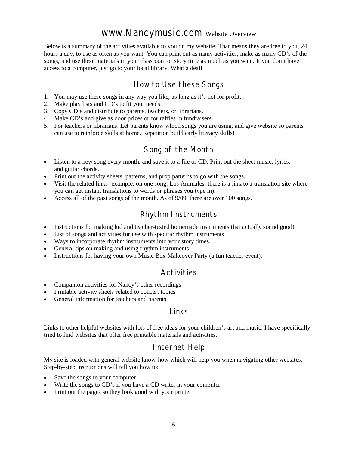# www.Nancymusic.com Website Overview

Below is a summary of the activities available to you on my website. That means they are free to you, 24 hours a day, to use as often as you want. You can print out as many activities, make as many CD's of the songs, and use these materials in your classroom or story time as much as you want. It you don't have access to a computer, just go to your local library. What a deal!

# How to Use these Songs

- 1. You may use these songs in any way you like, as long as it's not for profit.
- 2. Make play lists and CD's to fit your needs.
- 3. Copy CD's and distribute to parents, teachers, or librarians.
- 4. Make CD's and give as door prizes or for raffles in fundraisers
- 5. For teachers or librarians: Let parents know which songs you are using, and give website so parents can use to reinforce skills at home. Repetition build early literacy skills!

# Song of the Month

- Listen to a new song every month, and save it to a file or CD. Print out the sheet music, lyrics, and guitar chords.
- Print out the activity sheets, patterns, and prop patterns to go with the songs.
- Visit the related links (example: on one song, Los Animales, there is a link to a translation site where you can get instant translations to words or phrases you type in).
- Access all of the past songs of the month. As of 9/09, there are over 100 songs.

# Rhythm Instruments

- Instructions for making kid and teacher-tested homemade instruments that actually sound good!
- List of songs and activities for use with specific rhythm instruments
- Ways to incorporate rhythm instruments into your story times.
- General tips on making and using rhythm instruments.
- Instructions for having your own Music Box Makeover Party (a fun teacher event).

# Activities

- Companion activities for Nancy's other recordings
- Printable activity sheets related to concert topics
- General information for teachers and parents

### Links

Links to other helpful websites with lots of free ideas for your children's art and music. I have specifically tried to find websites that offer free printable materials and activities.

# Internet Help

My site is loaded with general website know-how which will help you when navigating other websites. Step-by-step instructions will tell you how to:

- Save the songs to your computer
- Write the songs to CD's if you have a CD writer in your computer
- Print out the pages so they look good with your printer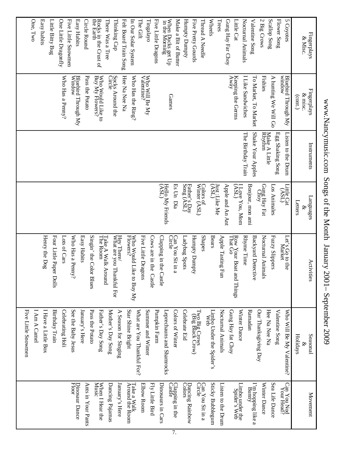Wheels One, Two One Little Dragonfly There Was a Tree Thinking Cap Make a Bit of Butter Five Pretty Gourds Trees Gung Hay Far Choy 2 Big Crows Scallop Song **Flower Song** 5 Coyotes Easy habits Little Bitty Bug **Five Little Snowmen** Easy Habits Circle Round Rocks in the Crust of<br>the Earth Felt Board Train Song In Our Solar System The Gift Tingalayo Five Little Dragons in the Morning When Ducks get Up Humpty Dumpty Thread A Needle Little Cat Nocturnal Animals **Valentine Song** Easy habits Little Bitty Bug One Little Dragonfly Five Little Snowmen Easy Habits Circle Round the Earth Rocks in the Crust of There Was a Tree Thinking Cap Felt Board Train Song In Our Solar System Five Little Dragons Make a Bit of Butter Humpty Dumpty Five Pretty Gourds Thread A Needle Gung Hay Far Choy Little Cat Nocturnal Animals Valentine Song 2 Big Crows Scallop Song Flower Song & Misc. Fingerplays  $\begin{array}{c} \rm{Bhebrid\; Through\; My} \\ \rm{Window} \end{array}$ Socks Around the<br>Circle Hee Na Nee Na Who Will Be My  $\ensuremath{\mathrm{V}}\xspace_\text{alentine?}$ Keeping the Germs<br> $A$ way Fishies Bluebird Through My<br>window Who Would Like to<br>Buy My Flowers? I Like Sandwiches A hunting We Will Go Who Has a Penny? Who Has a Penny? Window Bluebird Through My Pass the Potato Pass the Potato Buy My Flowers? Who Would Like to Hee Na Nee Na Who Has the Ring? Who Has the Ring? I Like Sandwiches To Market, To Market To Market, To Market A hunting We Will Go window Bluebird Through My Socks Around the & misc. Fingerplays (cont.) Games Shake Your Apples The Birthday Train Listen to the Drum Egg Shaking Song The Birthday Train Shake Your Apples Make A Little<br>Rhythm Make A Little Egg Shaking Song Listen to the Drum Instruments Instruments  $\frac{\text{Father's Day}}{\text{Some }(\text{ASL})}$ Colors of<br>Winter (ASL) Little Cat<br>
(ASL) Apple and An Ant Hello My Friends (ASL) Es Un Winter (ASL) Colors of Just :Like Me<br>(ASL) Just :Like Me Apple and An Ant (ASL) I Love You, Mom Bonjour Choy Gung Hay Fat Los Animales Little Cat Animales Languages Letters Día , mon & ami Shapes Henry the Dog Four Little Paper Dolls Lots of Cars Easy Habits Singin' the Color Blues Hey There/<br>What are you Thankful For Who Would Like to Buy My<br>Flowers? Five Little Dragons Cows are in the Castle Clapping in the Castle Can You Sit in a<br>Circle Ladybug Spots Bears Apple Tasting Fun Rhyme Time **Backyard Detective** Nocturnal Animals Fuzzy Slippers Who Has a Penny? Take A Walk Around<br>The Room Humpty Dumpty Row Your Boat and Things<br>That Go Let's Go to the<br>Market Henry the Dog Four Little Paper Dolls Lots of Cars Who Has a Penny? Easy Habits Singin' the Color Blues The Room Take A Walk Around Hey There/<br>What are you Thankful For Flowers? Who Would Like to Buy My Five Little Dragons Cows are in the Castle Clapping in the Castle Can You Sit in a Ladybug Spots Humpty Dumpty Apple Tasting Fun That Go Row Your Boat and Things Rhyme Time Backyard Detective Nocturnal Animals Fuzzy Slippers Market Let's Go to the Activities Activities See the Baby Jesus Pass the Potato Mother's Day Song Star Shine Bright What are You Thankful For? Summer and Winter Pumpkin Farm Valentine Song Five Little Snowmen I Am A Camel I Have a Little Box Birthday Train Celebrating Holi January's Here Father's Day Song A Season for Singing Leprechauns and Shamrocks Colors of Winter Celebrate Eid Two Big Crows<br>
(Big Black Crow) Limbo Under the Spider's<br>Web Nocturnal Animals Gung Hay fat Choy Winter Dance Ramadan Our Thanksgiving Day Hee Na Nee Na Who Will Be My Valentine? Five Little Snowmen I Am A Camel I Have a Little Box Birthday Train Celebrating Holi See the Baby Jesus January's Here Pass the Potato Father's Day Song Mother's Day Song A Season for Singing Star Shine Bright What are You Thankful For? Summer and Winter Pumpkin Farm Leprechauns and Shamrocks Colors of Winter Celebrate Eid Web Limbo Under the Spider's Nocturnal Animals Gung Hay fat Choy Winter Dance Ramadan Our Thanksgiving Day Hee Na Nee Na Valentine Song Who Will Be My Valentine? Seasonal Holidays Seasonal & Can You Sit in a<br>Circle Dinosaur Dance<br>Floor When I Hear the<br>Music Dancing Pajamas Elbow Room Castle Clapping in the Colors Dancing Rainbow **Sticky Bubblegum** Sea Life Dance Can You Nod<br>Your Head? Ants in Your Pants January's Here Take a Walk<br>Around the Room Fly Little Bird Dinosaurs in Cars Listen to the Drum Limbo under the<br>Spider's Web Bunny I'm hopping like a Winter Dance Dinosaur Dance Ants in Your Pants When I Hear the Dancing Pajamas January's Here Around the Room Take a Walk Elbow Room Fly Little Bird Dinosaurs in Cars Can You Sit in a Sticky Bubblegum Listen to the Drum Spider's Web Limbo under the Winter Dance Sea Life Dance Your Head? Can You Nod Movement Movement

# www.Nancymusic.com Songs of the Month January  $2001 -$ September 2009 www.Nancymusic.com Songs of the Month January 2001– September 2009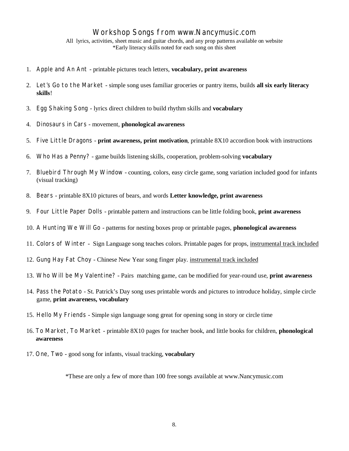# Workshop Songs from www.Nancymusic.com

All lyrics, activities, sheet music and guitar chords, and any prop patterns available on website \*Early literacy skills noted for each song on this sheet

- 1. Apple and An Ant printable pictures teach letters, **vocabulary, print awareness**
- 2. Let's Go to the Market simple song uses familiar groceries or pantry items, builds **all six early literacy skills**!
- 3. Egg Shaking Song lyrics direct children to build rhythm skills and **vocabulary**
- 4. Dinosaurs in Cars movement, **phonological awareness**
- 5. Five Little Dragons **print awareness, print motivation**, printable 8X10 accordion book with instructions
- 6. Who Has a Penny? game builds listening skills, cooperation, problem-solving **vocabulary**
- 7. Bluebird Through My Window counting, colors, easy circle game, song variation included good for infants (visual tracking)
- 8. Bears printable 8X10 pictures of bears, and words **Letter knowledge, print awareness**
- 9. Four Little Paper Dolls printable pattern and instructions can be little folding book, **print awareness**
- 10. A Hunting We Will Go patterns for nesting boxes prop or printable pages, **phonological awareness**
- 11. Colors of Winter Sign Language song teaches colors. Printable pages for props, instrumental track included
- 12. Gung Hay Fat Choy Chinese New Year song finger play. instrumental track included
- 13. Who Will be My Valentine? Pairs matching game, can be modified for year-round use, **print awareness**
- 14. Pass the Potato St. Patrick's Day song uses printable words and pictures to introduce holiday, simple circle game, **print awareness, vocabulary**
- 15. Hello My Friends Simple sign language song great for opening song in story or circle time
- 16. To Market, To Market printable 8X10 pages for teacher book, and little books for children, **phonological awareness**
- 17. One, Two good song for infants, visual tracking, **vocabulary**

\*These are only a few of more than 100 free songs available at www.Nancymusic.com